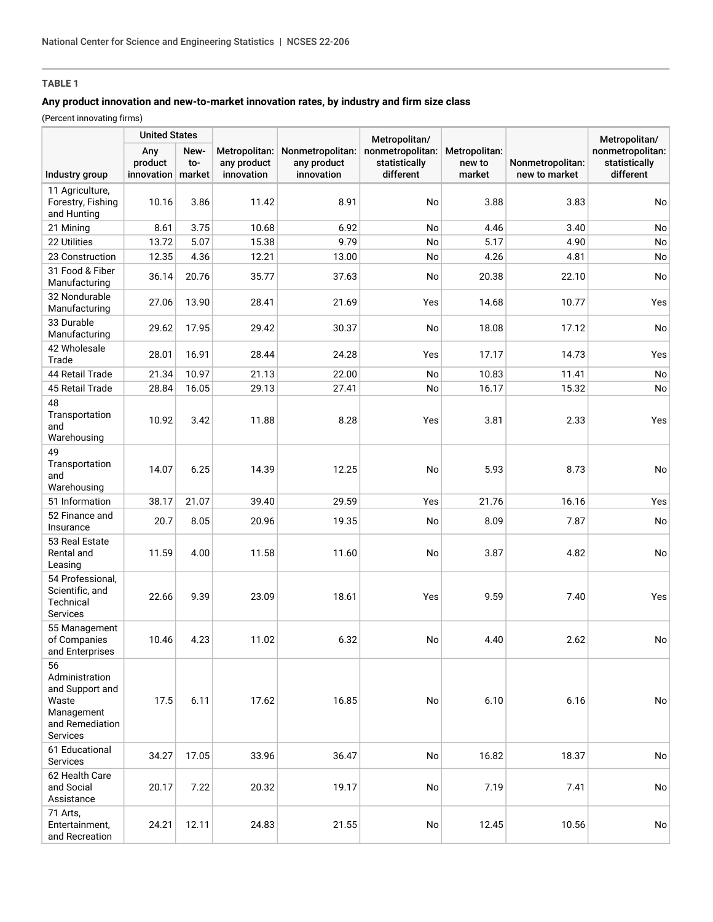# **TABLE 1**

## **Any product innovation and new-to-market innovation rates, by industry and firm size class**

(Percent innovating firms)

|                                                                                               | <b>United States</b>         |                       |                                            |                                               | Metropolitan/                                  |                                   |                                   | Metropolitan/                                  |
|-----------------------------------------------------------------------------------------------|------------------------------|-----------------------|--------------------------------------------|-----------------------------------------------|------------------------------------------------|-----------------------------------|-----------------------------------|------------------------------------------------|
| Industry group                                                                                | Any<br>product<br>innovation | New-<br>to-<br>market | Metropolitan:<br>any product<br>innovation | Nonmetropolitan:<br>any product<br>innovation | nonmetropolitan:<br>statistically<br>different | Metropolitan:<br>new to<br>market | Nonmetropolitan:<br>new to market | nonmetropolitan:<br>statistically<br>different |
| 11 Agriculture,<br>Forestry, Fishing<br>and Hunting                                           | 10.16                        | 3.86                  | 11.42                                      | 8.91                                          | No                                             | 3.88                              | 3.83                              | No                                             |
| 21 Mining                                                                                     | 8.61                         | 3.75                  | 10.68                                      | 6.92                                          | No                                             | 4.46                              | 3.40                              | No                                             |
| 22 Utilities                                                                                  | 13.72                        | 5.07                  | 15.38                                      | 9.79                                          | No                                             | 5.17                              | 4.90                              | No                                             |
| 23 Construction                                                                               | 12.35                        | 4.36                  | 12.21                                      | 13.00                                         | No                                             | 4.26                              | 4.81                              | No                                             |
| 31 Food & Fiber<br>Manufacturing                                                              | 36.14                        | 20.76                 | 35.77                                      | 37.63                                         | No                                             | 20.38                             | 22.10                             | No                                             |
| 32 Nondurable<br>Manufacturing                                                                | 27.06                        | 13.90                 | 28.41                                      | 21.69                                         | Yes                                            | 14.68                             | 10.77                             | Yes                                            |
| 33 Durable<br>Manufacturing                                                                   | 29.62                        | 17.95                 | 29.42                                      | 30.37                                         | No                                             | 18.08                             | 17.12                             | No                                             |
| 42 Wholesale<br>Trade                                                                         | 28.01                        | 16.91                 | 28.44                                      | 24.28                                         | Yes                                            | 17.17                             | 14.73                             | Yes                                            |
| 44 Retail Trade                                                                               | 21.34                        | 10.97                 | 21.13                                      | 22.00                                         | No                                             | 10.83                             | 11.41                             | No                                             |
| 45 Retail Trade                                                                               | 28.84                        | 16.05                 | 29.13                                      | 27.41                                         | No                                             | 16.17                             | 15.32                             | No                                             |
| 48<br>Transportation<br>and<br>Warehousing                                                    | 10.92                        | 3.42                  | 11.88                                      | 8.28                                          | Yes                                            | 3.81                              | 2.33                              | Yes                                            |
| 49<br>Transportation<br>and<br>Warehousing                                                    | 14.07                        | 6.25                  | 14.39                                      | 12.25                                         | No                                             | 5.93                              | 8.73                              | No                                             |
| 51 Information                                                                                | 38.17                        | 21.07                 | 39.40                                      | 29.59                                         | Yes                                            | 21.76                             | 16.16                             | Yes                                            |
| 52 Finance and<br>Insurance                                                                   | 20.7                         | 8.05                  | 20.96                                      | 19.35                                         | No                                             | 8.09                              | 7.87                              | No                                             |
| 53 Real Estate<br>Rental and<br>Leasing                                                       | 11.59                        | 4.00                  | 11.58                                      | 11.60                                         | No                                             | 3.87                              | 4.82                              | No                                             |
| 54 Professional,<br>Scientific, and<br>Technical<br>Services                                  | 22.66                        | 9.39                  | 23.09                                      | 18.61                                         | Yes                                            | 9.59                              | 7.40                              | Yes                                            |
| 55 Management<br>of Companies<br>and Enterprises                                              | 10.46                        | 4.23                  | 11.02                                      | 6.32                                          | No                                             | 4.40                              | 2.62                              | No                                             |
| 56<br>Administration<br>and Support and<br>Waste<br>Management<br>and Remediation<br>Services | 17.5                         | 6.11                  | 17.62                                      | 16.85                                         | No                                             | 6.10                              | 6.16                              | No                                             |
| 61 Educational<br>Services                                                                    | 34.27                        | 17.05                 | 33.96                                      | 36.47                                         | No                                             | 16.82                             | 18.37                             | No                                             |
| 62 Health Care<br>and Social<br>Assistance                                                    | 20.17                        | 7.22                  | 20.32                                      | 19.17                                         | No                                             | 7.19                              | 7.41                              | No                                             |
| 71 Arts,<br>Entertainment,<br>and Recreation                                                  | 24.21                        | 12.11                 | 24.83                                      | 21.55                                         | No                                             | 12.45                             | 10.56                             | No                                             |